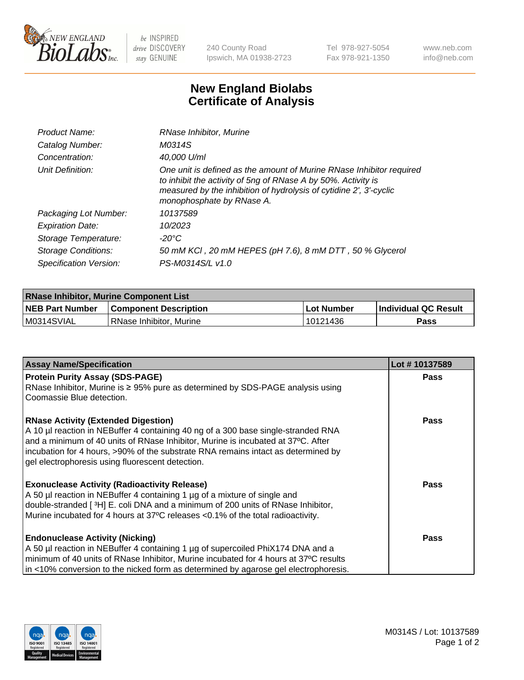

 $be$  INSPIRED drive DISCOVERY stay GENUINE

240 County Road Ipswich, MA 01938-2723 Tel 978-927-5054 Fax 978-921-1350 www.neb.com info@neb.com

## **New England Biolabs Certificate of Analysis**

| Product Name:              | RNase Inhibitor, Murine                                                                                                                                                                                                                  |
|----------------------------|------------------------------------------------------------------------------------------------------------------------------------------------------------------------------------------------------------------------------------------|
| Catalog Number:            | M0314S                                                                                                                                                                                                                                   |
| Concentration:             | 40,000 U/ml                                                                                                                                                                                                                              |
| Unit Definition:           | One unit is defined as the amount of Murine RNase Inhibitor required<br>to inhibit the activity of 5ng of RNase A by 50%. Activity is<br>measured by the inhibition of hydrolysis of cytidine 2', 3'-cyclic<br>monophosphate by RNase A. |
| Packaging Lot Number:      | 10137589                                                                                                                                                                                                                                 |
| <b>Expiration Date:</b>    | 10/2023                                                                                                                                                                                                                                  |
| Storage Temperature:       | -20°C                                                                                                                                                                                                                                    |
| <b>Storage Conditions:</b> | 50 mM KCl, 20 mM HEPES (pH 7.6), 8 mM DTT, 50 % Glycerol                                                                                                                                                                                 |
| Specification Version:     | PS-M0314S/L v1.0                                                                                                                                                                                                                         |

| <b>RNase Inhibitor, Murine Component List</b> |                              |            |                             |  |  |
|-----------------------------------------------|------------------------------|------------|-----------------------------|--|--|
| <b>NEB Part Number</b>                        | <b>Component Description</b> | Lot Number | <b>Individual QC Result</b> |  |  |
| M0314SVIAL                                    | l RNase Inhibitor. Murine    | 10121436   | Pass                        |  |  |

| <b>Assay Name/Specification</b>                                                      | Lot #10137589 |
|--------------------------------------------------------------------------------------|---------------|
| <b>Protein Purity Assay (SDS-PAGE)</b>                                               | <b>Pass</b>   |
| RNase Inhibitor, Murine is ≥ 95% pure as determined by SDS-PAGE analysis using       |               |
| Coomassie Blue detection.                                                            |               |
| <b>RNase Activity (Extended Digestion)</b>                                           | Pass          |
| A 10 µl reaction in NEBuffer 4 containing 40 ng of a 300 base single-stranded RNA    |               |
| and a minimum of 40 units of RNase Inhibitor, Murine is incubated at 37°C. After     |               |
| incubation for 4 hours, >90% of the substrate RNA remains intact as determined by    |               |
| gel electrophoresis using fluorescent detection.                                     |               |
|                                                                                      |               |
| <b>Exonuclease Activity (Radioactivity Release)</b>                                  | Pass          |
| A 50 µl reaction in NEBuffer 4 containing 1 µg of a mixture of single and            |               |
| double-stranded [3H] E. coli DNA and a minimum of 200 units of RNase Inhibitor,      |               |
| Murine incubated for 4 hours at 37°C releases <0.1% of the total radioactivity.      |               |
| <b>Endonuclease Activity (Nicking)</b>                                               | Pass          |
| A 50 µl reaction in NEBuffer 4 containing 1 µg of supercoiled PhiX174 DNA and a      |               |
| minimum of 40 units of RNase Inhibitor, Murine incubated for 4 hours at 37°C results |               |
| in <10% conversion to the nicked form as determined by agarose gel electrophoresis.  |               |